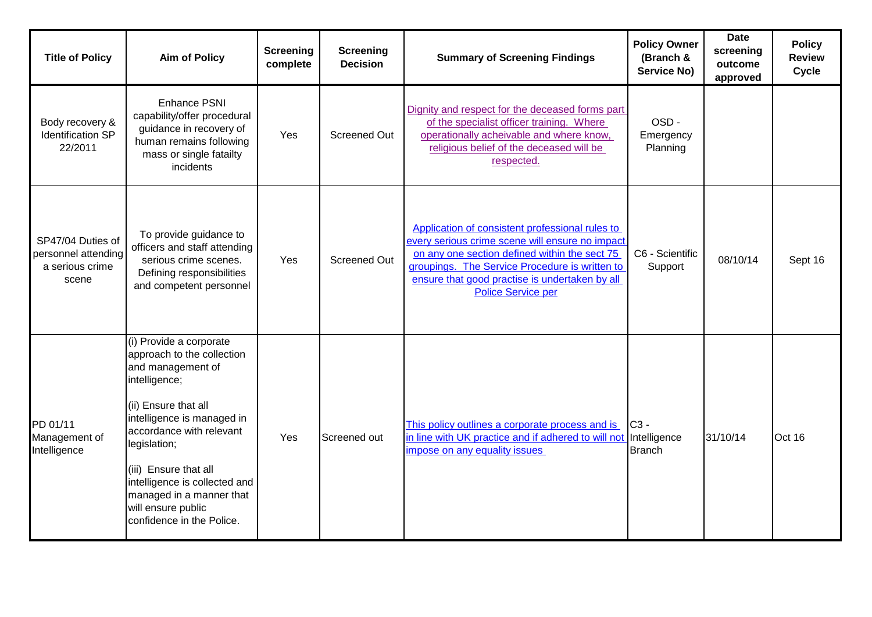| <b>Title of Policy</b>                                               | <b>Aim of Policy</b>                                                                                                                                                                                                                                                                                                                   | <b>Screening</b><br>complete | <b>Screening</b><br><b>Decision</b> | <b>Summary of Screening Findings</b>                                                                                                                                                                                                                                                 | <b>Policy Owner</b><br>(Branch &<br>Service No) | <b>Date</b><br>screening<br>outcome<br>approved | <b>Policy</b><br><b>Review</b><br><b>Cycle</b> |
|----------------------------------------------------------------------|----------------------------------------------------------------------------------------------------------------------------------------------------------------------------------------------------------------------------------------------------------------------------------------------------------------------------------------|------------------------------|-------------------------------------|--------------------------------------------------------------------------------------------------------------------------------------------------------------------------------------------------------------------------------------------------------------------------------------|-------------------------------------------------|-------------------------------------------------|------------------------------------------------|
| Body recovery &<br>Identification SP<br>22/2011                      | <b>Enhance PSNI</b><br>capability/offer procedural<br>guidance in recovery of<br>human remains following<br>mass or single fatailty<br>incidents                                                                                                                                                                                       | Yes                          | <b>Screened Out</b>                 | Dignity and respect for the deceased forms part<br>of the specialist officer training. Where<br>operationally acheivable and where know,<br>religious belief of the deceased will be<br>respected.                                                                                   | OSD-<br>Emergency<br>Planning                   |                                                 |                                                |
| SP47/04 Duties of<br>personnel attending<br>a serious crime<br>scene | To provide guidance to<br>officers and staff attending<br>serious crime scenes.<br>Defining responsibilities<br>and competent personnel                                                                                                                                                                                                | Yes                          | Screened Out                        | Application of consistent professional rules to<br>every serious crime scene will ensure no impact<br>on any one section defined within the sect 75<br>groupings. The Service Procedure is written to<br>ensure that good practise is undertaken by all<br><b>Police Service per</b> | C6 - Scientific<br>Support                      | 08/10/14                                        | Sept 16                                        |
| PD 01/11<br>Management of<br>Intelligence                            | (i) Provide a corporate<br>approach to the collection<br>and management of<br>intelligence;<br>(ii) Ensure that all<br>intelligence is managed in<br>accordance with relevant<br>legislation;<br>(iii) Ensure that all<br>intelligence is collected and<br>managed in a manner that<br>will ensure public<br>confidence in the Police. | Yes                          | Screened out                        | This policy outlines a corporate process and is<br>in line with UK practice and if adhered to will not Intelligence<br>impose on any equality issues                                                                                                                                 | $C3 -$<br><b>Branch</b>                         | 31/10/14                                        | Oct 16                                         |